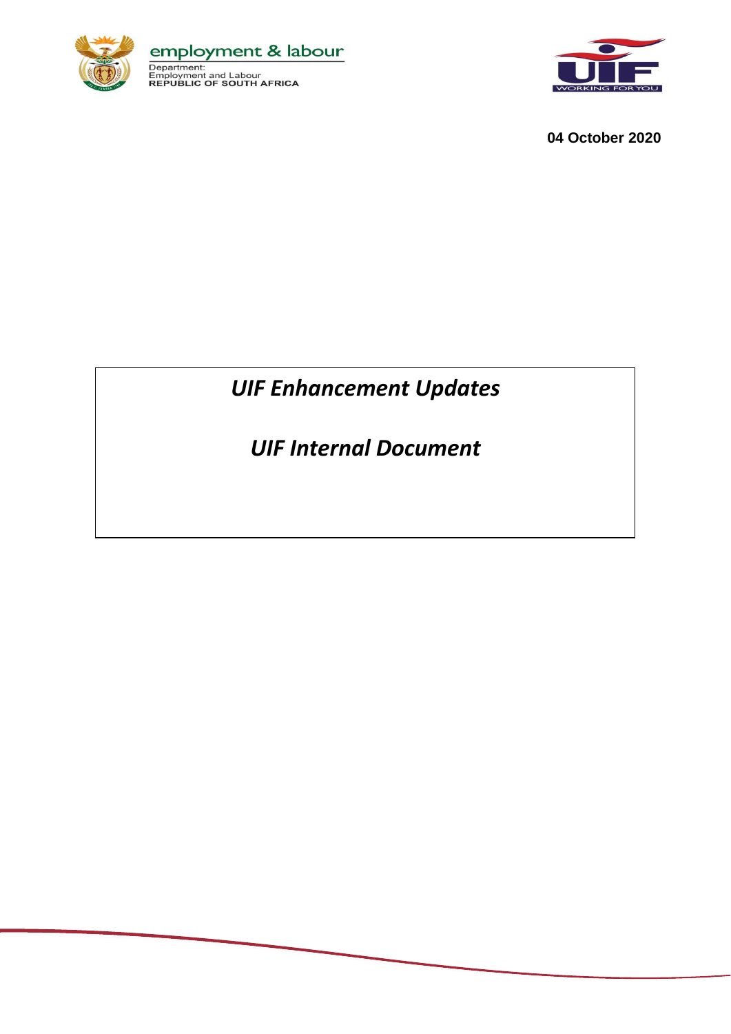



**04 October 2020**

## *UIF Enhancement Updates*

*UIF Internal Document*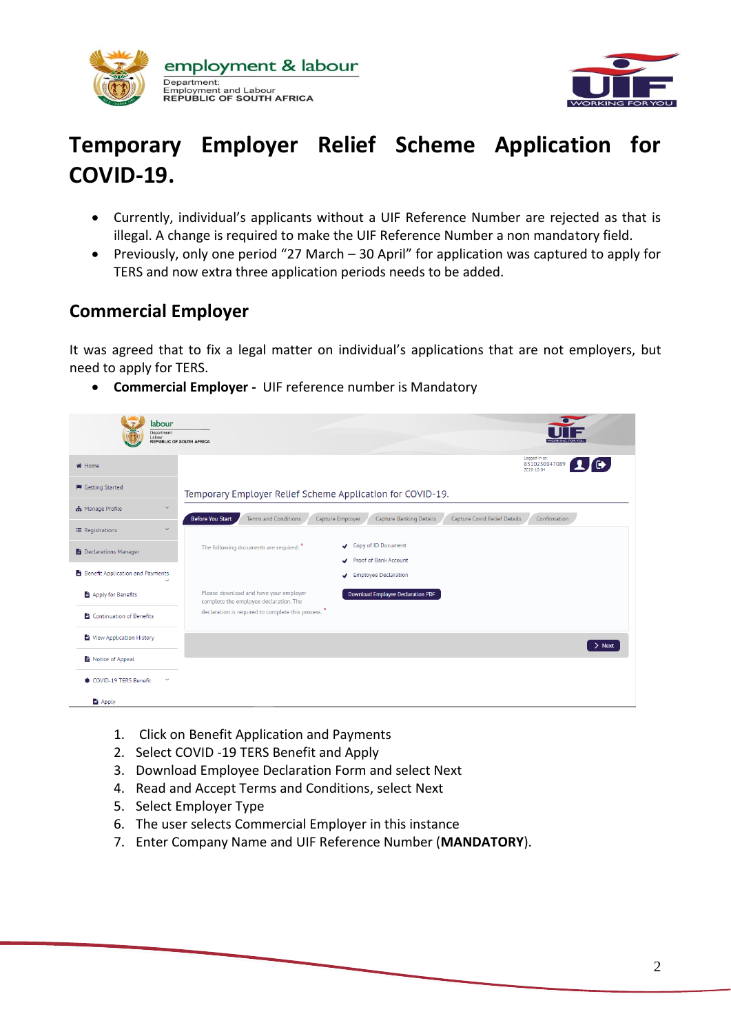



# **Temporary Employer Relief Scheme Application for COVID-19.**

- Currently, individual's applicants without a UIF Reference Number are rejected as that is illegal. A change is required to make the UIF Reference Number a non mandatory field.
- Previously, only one period "27 March 30 April" for application was captured to apply for TERS and now extra three application periods needs to be added.

#### **Commercial Employer**

It was agreed that to fix a legal matter on individual's applications that are not employers, but need to apply for TERS.

**Commercial Employer -** UIF reference number is Mandatory

| labour<br>Department:<br>Labour         | <b>REPUBLIC OF SOUTH AFRICA</b>                                                                                                                              |
|-----------------------------------------|--------------------------------------------------------------------------------------------------------------------------------------------------------------|
| <b>X</b> Home                           | Logged in as:<br>$\mathbf{1}$ G<br>8510250147089<br>2020-10-04                                                                                               |
| Getting Started                         | Temporary Employer Relief Scheme Application for COVID-19.                                                                                                   |
| h Manage Profile<br>$\checkmark$        | <b>Before You Start</b><br><b>Terms and Conditions</b><br><b>Capture Covid Relief Details</b><br>Capture Employer<br>Capture Banking Details<br>Confirmation |
| $\checkmark$<br>$\equiv$ Registrations  |                                                                                                                                                              |
| <b>Declarations Manager</b>             | Copy of ID Document<br>The following documents are required:<br>Proof of Bank Account                                                                        |
| Benefit Application and Payments<br>Q   | Fmployee Declaration                                                                                                                                         |
| Apply for Benefits                      | Please download and have your employer<br><b>Download Employee Declaration PDF</b><br>complete the employee declaration. The                                 |
| Continuation of Benefits                | declaration is required to complete this process. *                                                                                                          |
| View Application History                | $>$ Next                                                                                                                                                     |
| Notice of Appeal                        |                                                                                                                                                              |
| ● COVID-19 TERS Benefit<br>$\checkmark$ |                                                                                                                                                              |
| <b>自 Apply</b>                          |                                                                                                                                                              |

- 1. Click on Benefit Application and Payments
- 2. Select COVID -19 TERS Benefit and Apply
- 3. Download Employee Declaration Form and select Next
- 4. Read and Accept Terms and Conditions, select Next
- 5. Select Employer Type
- 6. The user selects Commercial Employer in this instance
- 7. Enter Company Name and UIF Reference Number (**MANDATORY**).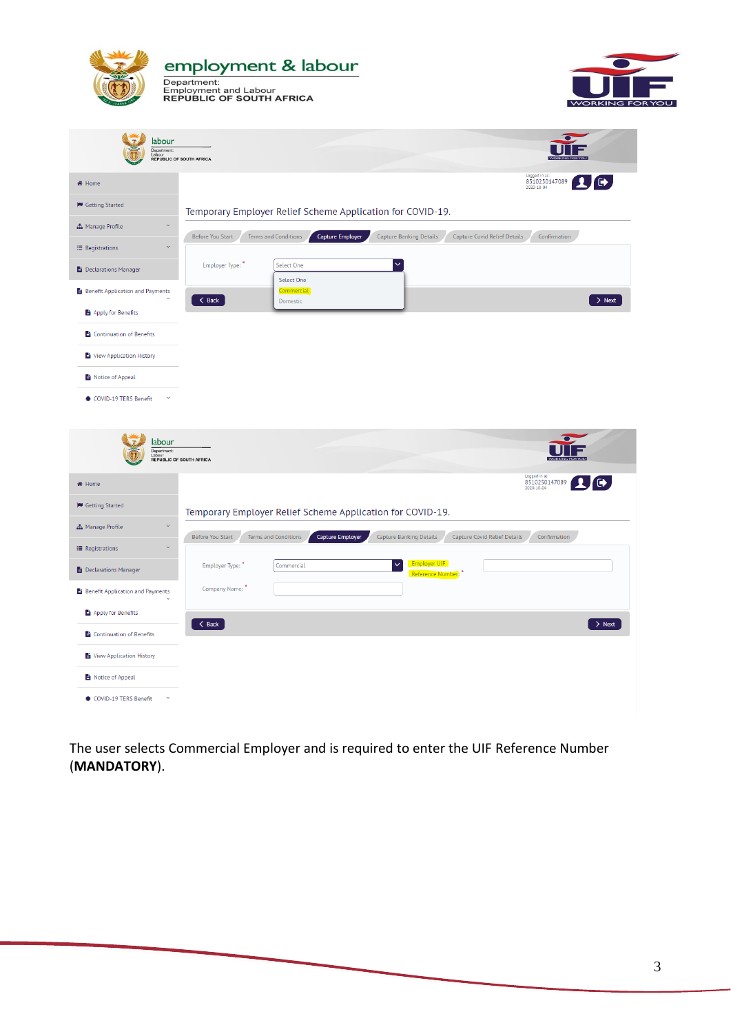

The user selects Commercial Employer and is required to enter the UIF Reference Number (**MANDATORY**).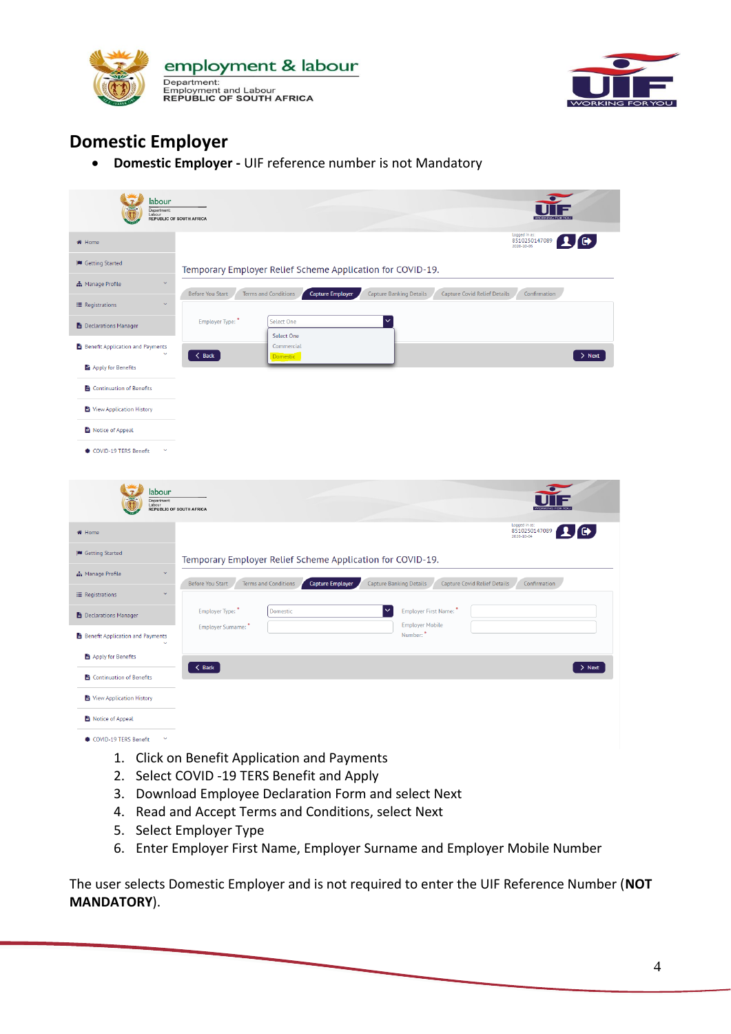



## **Domestic Employer**

**Domestic Employer -** UIF reference number is not Mandatory

| labour<br>Department:<br>Labour<br><b>REPUBLIC OF SOUTH AFRICA</b> |                                                                                                                                                                     |  |
|--------------------------------------------------------------------|---------------------------------------------------------------------------------------------------------------------------------------------------------------------|--|
| <br><b>We Home</b>                                                 | Logged in as:<br>8510250147089<br>$\bullet$<br>2020-10-05                                                                                                           |  |
| Getting Started                                                    | Temporary Employer Relief Scheme Application for COVID-19.                                                                                                          |  |
| $\ddot{\phantom{1}}$<br>h Manage Profile                           | <b>Before You Start</b><br><b>Terms and Conditions</b><br><b>Capture Employer</b><br>Capture Banking Details<br><b>Capture Covid Relief Details</b><br>Confirmation |  |
| E Registrations                                                    |                                                                                                                                                                     |  |
| <b>E</b> Declarations Manager                                      | $\checkmark$<br>Employer Type:<br>Select One<br>Select One                                                                                                          |  |
| Benefit Application and Payments                                   | Commercial<br>$\langle$ Back<br>$>$ Next<br>Domestic                                                                                                                |  |
| Apply for Benefits                                                 |                                                                                                                                                                     |  |
| Continuation of Benefits                                           |                                                                                                                                                                     |  |
| View Application History                                           |                                                                                                                                                                     |  |
| Notice of Appeal                                                   |                                                                                                                                                                     |  |
| <b>● COVID-19 TERS Benefit</b>                                     |                                                                                                                                                                     |  |
| labour<br>Department:<br>Labour<br>REPUBLIC OF SOUTH AFRICA        |                                                                                                                                                                     |  |
| <br><b>We Home</b>                                                 | Logged in as:<br>$\bullet$<br>8510250147089                                                                                                                         |  |
| Getting Started                                                    | Temporary Employer Relief Scheme Application for COVID-19.                                                                                                          |  |
| h Manage Profile                                                   | <b>Before You Start</b><br>Terms and Conditions<br><b>Capture Employer</b><br><b>Capture Banking Details</b><br><b>Capture Covid Relief Details</b><br>Confirmation |  |
| $\ddot{\mathbf{v}}$<br>E Registrations                             |                                                                                                                                                                     |  |
| <b>Declarations Manager</b>                                        | Employer Type:<br>Domestic<br>$\checkmark$<br>Employer First Name:<br><b>Employer Mobile</b><br>Employer Surname:                                                   |  |
| Benefit Application and Payments                                   | Number: *                                                                                                                                                           |  |
| Apply for Benefits                                                 | $\langle$ Back<br>$>$ Next                                                                                                                                          |  |
| Continuation of Benefits                                           |                                                                                                                                                                     |  |
| View Application History                                           |                                                                                                                                                                     |  |
| Notice of Appeal                                                   |                                                                                                                                                                     |  |
| COVID-19 TERS Benefit                                              |                                                                                                                                                                     |  |

- 1. Click on Benefit Application and Payments
- 2. Select COVID -19 TERS Benefit and Apply
- 3. Download Employee Declaration Form and select Next
- 4. Read and Accept Terms and Conditions, select Next
- 5. Select Employer Type
- 6. Enter Employer First Name, Employer Surname and Employer Mobile Number

The user selects Domestic Employer and is not required to enter the UIF Reference Number (**NOT MANDATORY**).